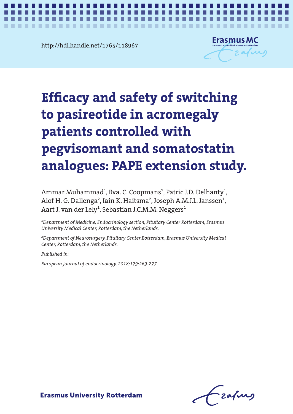**Chapter 44** http://hdl.handle.net/1765/118967



# $\epsilon$  and safety of safety of safety of safety of safety of switching  $\epsilon$ to participal de la concession de la concession de la concession de la concession de la concession de la concession de la concession de la concession de la concession de la concession de la concession de la concession de l parecentre an uccommogery<br>nts controlled with pegvisomant and somatostatin **pegvisomant and somatostatin**  analogues: PAPE extension study. **analogues: PAPE extension study. Efficacy and safety of switching to pasireotide in acromegaly patients controlled with**

*Efficacy and safety of switching to pasireotide in acromegaly patients (extension study)* **1**

Ammar Muhammad<sup>1</sup>, Eva. C. Coopmans<sup>1</sup>, Patric J.D. Delhanty<sup>1</sup>, Alof H. G. Dallenga<sup>2</sup>, Iain K. Haitsma<sup>2</sup>, Joseph A.M.J.L. Janssen<sup>1</sup>, Aart J. van der Lely $^{\scriptscriptstyle 1}$ , Sebastian J.C.M.M. Neggers $^{\scriptscriptstyle 1}$ 

*1 Department of Medicine, Endocrinology section, Pituitary Center Rotterdam, Erasmus University Medical Center, Rotterdam, the Netherlands.*

*2 Department of Neurosurgery, Pituitary Center Rotterdam, Erasmus University Medical Center, Rotterdam, the Netherlands.*

*Published in:*

*European journal of endocrinology. 2018;179:269-277.*

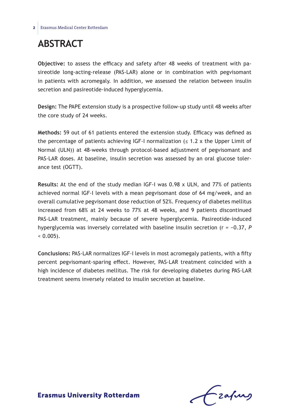# **Abstract**

**Objective:** to assess the efficacy and safety after 48 weeks of treatment with pasireotide long-acting-release (PAS-LAR) alone or in combination with pegvisomant in patients with acromegaly. In addition, we assessed the relation between insulin secretion and pasireotide-induced hyperglycemia.

**Design:** The PAPE extension study is a prospective follow-up study until 48 weeks after the core study of 24 weeks.

**Methods:** 59 out of 61 patients entered the extension study. Efficacy was defined as the percentage of patients achieving IGF-I normalization  $( \leq 1.2 \times$  the Upper Limit of Normal (ULN)) at 48-weeks through protocol-based adjustment of pegvisomant and PAS-LAR doses. At baseline, insulin secretion was assessed by an oral glucose tolerance test (OGTT).

**Results:** At the end of the study median IGF-I was 0.98 x ULN, and 77% of patients achieved normal IGF-I levels with a mean pegvisomant dose of 64 mg/week, and an overall cumulative pegvisomant dose reduction of 52%. Frequency of diabetes mellitus increased from 68% at 24 weeks to 77% at 48 weeks, and 9 patients discontinued PAS-LAR treatment, mainly because of severe hyperglycemia. Pasireotide-induced hyperglycemia was inversely correlated with baseline insulin secretion (r = −0.37, *P*  $(0.005)$ .

**Conclusions:** PAS-LAR normalizes IGF-I levels in most acromegaly patients, with a fifty percent pegvisomant-sparing effect. However, PAS-LAR treatment coincided with a high incidence of diabetes mellitus. The risk for developing diabetes during PAS-LAR treatment seems inversely related to insulin secretion at baseline.

Frahing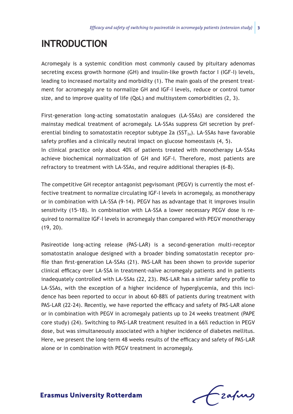# **Introduction**

Acromegaly is a systemic condition most commonly caused by pituitary adenomas secreting excess growth hormone (GH) and insulin-like growth factor I (IGF-I) levels, leading to increased mortality and morbidity (1). The main goals of the present treatment for acromegaly are to normalize GH and IGF-I levels, reduce or control tumor size, and to improve quality of life (QoL) and multisystem comorbidities (2, 3).

First-generation long-acting somatostatin analogues (LA-SSAs) are considered the mainstay medical treatment of acromegaly. LA-SSAs suppress GH secretion by preferential binding to somatostatin receptor subtype 2a  $(SST<sub>2a</sub>)$ . LA-SSAs have favorable safety profiles and a clinically neutral impact on glucose homeostasis (4, 5). In clinical practice only about 40% of patients treated with monotherapy LA-SSAs achieve biochemical normalization of GH and IGF-I. Therefore, most patients are refractory to treatment with LA-SSAs, and require additional therapies (6-8).

The competitive GH receptor antagonist pegvisomant (PEGV) is currently the most effective treatment to normalize circulating IGF-I levels in acromegaly, as monotherapy or in combination with LA-SSA (9-14). PEGV has as advantage that it improves insulin sensitivity (15-18). In combination with LA-SSA a lower necessary PEGV dose is required to normalize IGF-I levels in acromegaly than compared with PEGV monotherapy (19, 20).

Pasireotide long-acting release (PAS-LAR) is a second-generation multi-receptor somatostatin analogue designed with a broader binding somatostatin receptor profile than first-generation LA-SSAs (21). PAS-LAR has been shown to provide superior clinical efficacy over LA-SSA in treatment-naïve acromegaly patients and in patients inadequately controlled with LA-SSAs (22, 23). PAS-LAR has a similar safety profile to LA-SSAs, with the exception of a higher incidence of hyperglycemia, and this incidence has been reported to occur in about 60-88% of patients during treatment with PAS-LAR (22-24). Recently, we have reported the efficacy and safety of PAS-LAR alone or in combination with PEGV in acromegaly patients up to 24 weeks treatment (PAPE core study) (24). Switching to PAS-LAR treatment resulted in a 66% reduction in PEGV dose, but was simultaneously associated with a higher incidence of diabetes mellitus. Here, we present the long-term 48 weeks results of the efficacy and safety of PAS-LAR alone or in combination with PEGV treatment in acromegaly.

frafing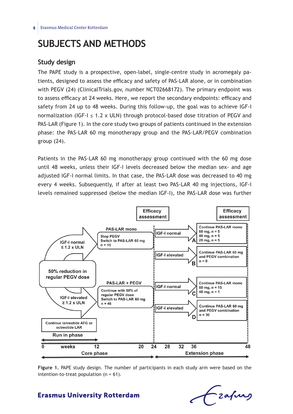# **Subjects and Methods**

## **Study design**

The PAPE study is a prospective, open-label, single-centre study in acromegaly patients, designed to assess the efficacy and safety of PAS-LAR alone, or in combination with PEGV (24) (ClinicalTrials.gov, number NCT02668172). The primary endpoint was to assess efficacy at 24 weeks. Here, we report the secondary endpoints: efficacy and safety from 24 up to 48 weeks. During this follow-up, the goal was to achieve IGF-I normalization (IGF-I  $\leq$  1.2 x ULN) through protocol-based dose titration of PEGV and PAS-LAR (Figure 1). In the core study two groups of patients continued in the extension phase: the PAS-LAR 60 mg monotherapy group and the PAS-LAR/PEGV combination group (24).

Patients in the PAS-LAR 60 mg monotherapy group continued with the 60 mg dose until 48 weeks, unless their IGF-I levels decreased below the median sex- and age adjusted IGF-I normal limits. In that case, the PAS-LAR dose was decreased to 40 mg every 4 weeks. Subsequently, if after at least two PAS-LAR 40 mg injections, IGF-I levels remained suppressed (below the median IGF-I), the PAS-LAR dose was further



**Figure 1.** PAPE study design. The number of participants in each study arm were based on the  $intention-to-treat population (n = 61).$ 

frafing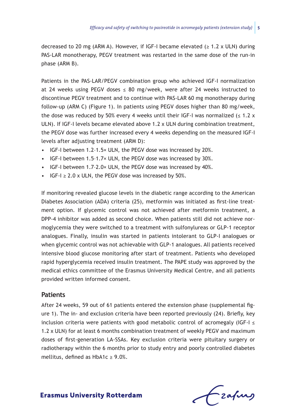decreased to 20 mg (ARM A). However, if IGF-I became elevated ( $\geq 1.2 \times ULN$ ) during PAS-LAR monotherapy, PEGV treatment was restarted in the same dose of the run-in phase (ARM B).

Patients in the PAS-LAR/PEGV combination group who achieved IGF-I normalization at 24 weeks using PEGV doses  $\leq 80$  mg/week, were after 24 weeks instructed to discontinue PEGV treatment and to continue with PAS-LAR 60 mg monotherapy during follow-up (ARM C) (Figure 1). In patients using PEGV doses higher than 80 mg/week, the dose was reduced by 50% every 4 weeks until their IGF-I was normalized ( $\leq 1.2 \times$ ULN). If IGF-I levels became elevated above 1.2 x ULN during combination treatment, the PEGV dose was further increased every 4 weeks depending on the measured IGF-I levels after adjusting treatment (ARM D):

- IGF-I between 1.2–1.5× ULN, the PEGV dose was increased by 20%.
- IGF-I between 1.5–1.7× ULN, the PEGV dose was increased by 30%.
- IGF-I between 1.7–2.0× ULN, the PEGV dose was increased by 40%.
- IGF-I  $\geq$  2.0 x ULN, the PEGV dose was increased by 50%.

If monitoring revealed glucose levels in the diabetic range according to the American Diabetes Association (ADA) criteria (25), metformin was initiated as first-line treatment option. If glycemic control was not achieved after metformin treatment, a DPP-4 inhibitor was added as second choice. When patients still did not achieve normoglycemia they were switched to a treatment with sulfonylureas or GLP-1 receptor analogues. Finally, insulin was started in patients intolerant to GLP-I analogues or when glycemic control was not achievable with GLP-1 analogues. All patients received intensive blood glucose monitoring after start of treatment. Patients who developed rapid hyperglycemia received insulin treatment. The PAPE study was approved by the medical ethics committee of the Erasmus University Medical Centre, and all patients provided written informed consent.

## **Patients**

After 24 weeks, 59 out of 61 patients entered the extension phase (supplemental figure 1). The in‑ and exclusion criteria have been reported previously (24). Briefly, key inclusion criteria were patients with good metabolic control of acromegaly (IGF-I  $\leq$ 1.2 x ULN) for at least 6 months combination treatment of weekly PEGV and maximum doses of first-generation LA-SSAs. Key exclusion criteria were pituitary surgery or radiotherapy within the 6 months prior to study entry and poorly controlled diabetes mellitus, defined as HbA1c  $\geq$  9.0%.

frafing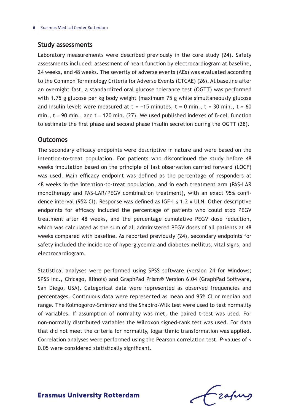#### **Study assessments**

Laboratory measurements were described previously in the core study (24). Safety assessments included: assessment of heart function by electrocardiogram at baseline, 24 weeks, and 48 weeks. The severity of adverse events (AEs) was evaluated according to the Common Terminology Criteria for Adverse Events (CTCAE) (26). At baseline after an overnight fast, a standardized oral glucose tolerance test (OGTT) was performed with 1.75 g glucose per kg body weight (maximum 75 g while simultaneously glucose and insulin levels were measured at t =  $-15$  minutes, t = 0 min., t = 30 min., t = 60 min.,  $t = 90$  min., and  $t = 120$  min. (27). We used published indexes of B-cell function to estimate the first phase and second phase insulin secretion during the OGTT (28).

#### **Outcomes**

The secondary efficacy endpoints were descriptive in nature and were based on the intention-to-treat population. For patients who discontinued the study before 48 weeks imputation based on the principle of last observation carried forward (LOCF) was used. Main efficacy endpoint was defined as the percentage of responders at 48 weeks in the intention-to-treat population, and in each treatment arm (PAS-LAR monotherapy and PAS-LAR/PEGV combination treatment), with an exact 95% confidence interval (95% CI). Response was defined as  $IGF-I \le 1.2 \times ULN$ . Other descriptive endpoints for efficacy included the percentage of patients who could stop PEGV treatment after 48 weeks, and the percentage cumulative PEGV dose reduction, which was calculated as the sum of all administered PEGV doses of all patients at 48 weeks compared with baseline. As reported previously (24), secondary endpoints for safety included the incidence of hyperglycemia and diabetes mellitus, vital signs, and electrocardiogram.

Statistical analyses were performed using SPSS software (version 24 for Windows; SPSS Inc., Chicago, Illinois) and GraphPad Prism® Version 6.04 (GraphPad Software, San Diego, USA). Categorical data were represented as observed frequencies and percentages. Continuous data were represented as mean and 95% CI or median and range. The Kolmogorov-Smirnov and the Shapiro-Wilk test were used to test normality of variables. If assumption of normality was met, the paired t-test was used. For non-normally distributed variables the Wilcoxon signed-rank test was used. For data that did not meet the criteria for normality, logarithmic transformation was applied. Correlation analyses were performed using the Pearson correlation test. *P*-values of < 0.05 were considered statistically significant.

frafing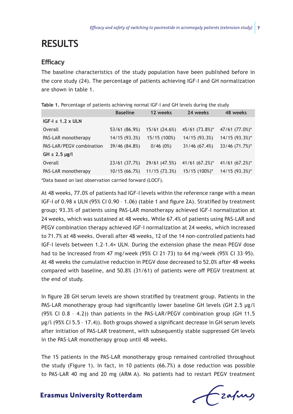# **Results**

# **Efficacy**

The baseline characteristics of the study population have been published before in the core study (24). The percentage of patients achieving IGF-I and GH normalization are shown in table 1.

| Table 1. Feltentage of patients achieving normal for I and On tevels during the study |                 |               |                  |                   |  |  |
|---------------------------------------------------------------------------------------|-----------------|---------------|------------------|-------------------|--|--|
|                                                                                       | <b>Baseline</b> | 12 weeks      | 24 weeks         | 48 weeks          |  |  |
| $ GF-I \leq 1.2 \times ULN$                                                           |                 |               |                  |                   |  |  |
| Overall                                                                               | 53/61 (86.9%)   | 15/61 (24.6%) | 45/61 (73.8%)*   | 47/61 (77.0%)*    |  |  |
| PAS-LAR monotherapy                                                                   | 14/15 (93.3%)   | 15/15 (100%)  | 14/15 (93.3%)    | 14/15 (93.3%)*    |  |  |
| PAS-LAR/PEGV combination                                                              | 39/46 (84.8%)   | 0/46(0%)      | 31/46 (67.4%)    | 33/46 (71.7%)*    |  |  |
| $GH \leq 2.5 \mu g/l$                                                                 |                 |               |                  |                   |  |  |
| Overall                                                                               | 23/61 (37.7%)   | 29/61 (47.5%) | $41/61$ (67.2%)* | 41/61 $(67.2%)^*$ |  |  |
| PAS-LAR monotherapy                                                                   | 10/15 (66.7%)   | 11/15(73.3%)  | 15/15 (100%)*    | 14/15 (93.3%)*    |  |  |
|                                                                                       |                 |               |                  |                   |  |  |

**Table 1.** Percentage of patients achieving normal IGF-I and GH levels during the study

\*Data based on last observation carried forward (LOCF).

At 48 weeks, 77.0% of patients had IGF-I levels within the reference range with a mean IGF-I of 0.98 x ULN (95% CI 0.90 – 1.06) (table 1 and figure 2A). Stratified by treatment group; 93.3% of patients using PAS-LAR monotherapy achieved IGF-I normalization at 24 weeks, which was sustained at 48 weeks. While 67.4% of patients using PAS-LAR and PEGV combination therapy achieved IGF-I normalization at 24 weeks, which increased to 71.7% at 48 weeks. Overall after 48 weeks, 12 of the 14 non-controlled patients had IGF-I levels between 1.2–1.4× ULN. During the extension phase the mean PEGV dose had to be increased from 47 mg/week (95% CI 21–73) to 64 mg/week (95% CI 33–95). At 48 weeks the cumulative reduction in PEGV dose decreased to 52.0% after 48 weeks compared with baseline, and 50.8% (31/61) of patients were off PEGV treatment at the end of study.

In figure 2B GH serum levels are shown stratified by treatment group. Patients in the PAS-LAR monotherapy group had significantly lower baseline GH levels (GH 2.5 µg/l (95% CI 0.8 – 4.2)) than patients in the PAS-LAR/PEGV combination group (GH 11.5 µg/l (95% CI 5.5 – 17.4)). Both groups showed a significant decrease in GH serum levels after initiation of PAS-LAR treatment, with subsequently stable suppressed GH levels in the PAS-LAR monotherapy group until 48 weeks.

The 15 patients in the PAS-LAR monotherapy group remained controlled throughout the study (Figure 1). In fact, in 10 patients (66.7%) a dose reduction was possible to PAS-LAR 40 mg and 20 mg (ARM A). No patients had to restart PEGV treatment

frafing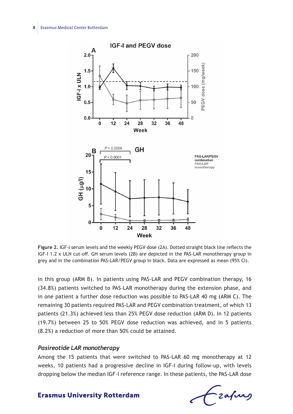

**Figure 2.** IGF-I serum levels and the weekly PEGV dose (2A). Dotted straight black line reflects the IGF-I 1.2 x ULN cut-off. GH serum levels (2B) are depicted in the PAS-LAR monotherapy group in grey and in the combination PAS-LAR/PEGV group in black. Data are expressed as mean (95% CI).

in this group (ARM B). In patients using PAS-LAR and PEGV combination therapy, 16 (34.8%) patients switched to PAS-LAR monotherapy during the extension phase, and in one patient a further dose reduction was possible to PAS-LAR 40 mg (ARM C). The remaining 30 patients required PAS-LAR and PEGV combination treatment, of which 13 patients (21.3%) achieved less than 25% PEGV dose reduction (ARM D). In 12 patients (19.7%) between 25 to 50% PEGV dose reduction was achieved, and in 5 patients (8.2%) a reduction of more than 50% could be attained.

#### *Pasireotide LAR monotherapy*

Among the 15 patients that were switched to PAS-LAR 60 mg monotherapy at 12 weeks, 10 patients had a progressive decline in IGF-I during follow-up, with levels dropping below the median IGF-I reference range. In these patients, the PAS-LAR dose

Lzafurg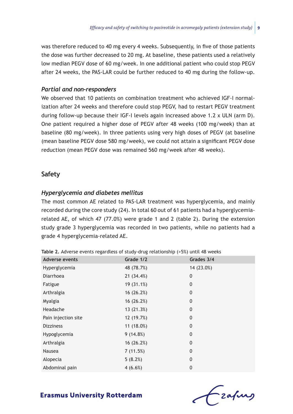was therefore reduced to 40 mg every 4 weeks. Subsequently, in five of those patients the dose was further decreased to 20 mg. At baseline, these patients used a relatively low median PEGV dose of 60 mg/week. In one additional patient who could stop PEGV after 24 weeks, the PAS-LAR could be further reduced to 40 mg during the follow-up.

#### *Partial and non-responders*

We observed that 10 patients on combination treatment who achieved IGF-I normalization after 24 weeks and therefore could stop PEGV, had to restart PEGV treatment during follow-up because their IGF-I levels again increased above 1.2 x ULN (arm D). One patient required a higher dose of PEGV after 48 weeks (100 mg/week) than at baseline (80 mg/week). In three patients using very high doses of PEGV (at baseline (mean baseline PEGV dose 580 mg/week), we could not attain a significant PEGV dose reduction (mean PEGV dose was remained 560 mg/week after 48 weeks).

## **Safety**

#### *Hyperglycemia and diabetes mellitus*

The most common AE related to PAS-LAR treatment was hyperglycemia, and mainly recorded during the core study (24). In total 60 out of 61 patients had a hyperglycemiarelated AE, of which 47 (77.0%) were grade 1 and 2 (table 2). During the extension study grade 3 hyperglycemia was recorded in two patients, while no patients had a grade 4 hyperglycemia-related AE.

| <b>Adverse events</b> | Grade 1/2  | Grades 3/4  |  |
|-----------------------|------------|-------------|--|
| Hyperglycemia         | 48 (78.7%) | 14 (23.0%)  |  |
| Diarrhoea             | 21(34.4%)  | 0           |  |
| Fatigue               | 19 (31.1%) | 0           |  |
| Arthralgia            | 16(26.2%)  | 0           |  |
| Myalgia               | 16(26.2%)  | 0           |  |
| Headache              | 13 (21.3%) | 0           |  |
| Pain injection site   | 12 (19.7%) | 0           |  |
| <b>Dizziness</b>      | 11(18.0%)  | $\mathbf 0$ |  |
| Hypoglycemia          | 9(14.8%)   | 0           |  |
| Arthralgia            | 16(26.2%)  | 0           |  |
| Nausea                | 7(11.5%)   | $\mathbf 0$ |  |
| Alopecia              | 5(8.2%)    | $\mathbf 0$ |  |
| Abdominal pain        | 4(6.6%)    | 0           |  |

**Table 2.** Adverse events regardless of study-drug relationship (>5%) until 48 weeks

Tzafung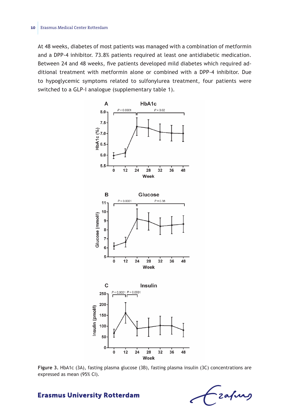At 48 weeks, diabetes of most patients was managed with a combination of metformin and a DPP-4 inhibitor. 73.8% patients required at least one antidiabetic medication. Between 24 and 48 weeks, five patients developed mild diabetes which required additional treatment with metformin alone or combined with a DPP-4 inhibitor. Due to hypoglycemic symptoms related to sulfonylurea treatment, four patients were switched to a GLP-I analogue (supplementary table 1).



**Figure 3.** HbA1c (3A), fasting plasma glucose (3B), fasting plasma insulin (3C) concentrations are expressed as mean (95% CI).

# - zafung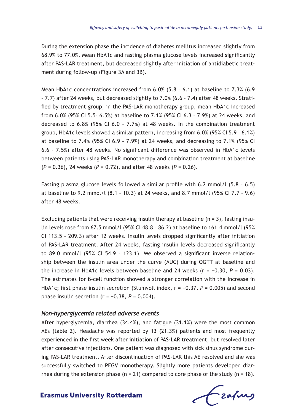During the extension phase the incidence of diabetes mellitus increased slightly from 68.9% to 77.0%. Mean HbA1c and fasting plasma glucose levels increased significantly after PAS-LAR treatment, but decreased slightly after initiation of antidiabetic treatment during follow-up (Figure 3A and 3B).

Mean HbA1c concentrations increased from 6.0% (5.8 – 6.1) at baseline to 7.3% (6.9 – 7.7) after 24 weeks, but decreased slightly to 7.0% (6.6 – 7.4) after 48 weeks. Stratified by treatment group; in the PAS-LAR monotherapy group, mean HbA1c increased from 6.0% (95% CI 5.5– 6.5%) at baseline to 7.1% (95% CI 6.3 – 7.9%) at 24 weeks, and decreased to 6.8% (95% CI 6.0 – 7.7%) at 48 weeks. In the combination treatment group, HbA1c levels showed a similar pattern, increasing from 6.0% (95% CI 5.9 – 6.1%) at baseline to 7.4% (95% CI 6.9 – 7.9%) at 24 weeks, and decreasing to 7.1% (95% CI 6.6 – 7.5%) after 48 weeks. No significant difference was observed in HbA1c levels between patients using PAS-LAR monotherapy and combination treatment at baseline (*P* = 0.36), 24 weeks (*P* = 0.72), and after 48 weeks (*P* = 0.26).

Fasting plasma glucose levels followed a similar profile with 6.2 mmol/l (5.8 – 6.5) at baseline to 9.2 mmol/l (8.1 – 10.3) at 24 weeks, and 8.7 mmol/l (95% CI 7.7 – 9.6) after 48 weeks.

Excluding patients that were receiving insulin therapy at baseline  $(n = 3)$ , fasting insulin levels rose from 67.5 mmol/l (95% CI 48.8 – 86.2) at baseline to 161.4 mmol/l (95% CI 113.5 – 209.3) after 12 weeks. Insulin levels dropped significantly after initiation of PAS-LAR treatment. After 24 weeks, fasting insulin levels decreased significantly to 89.0 mmol/l (95% CI 54.9 – 123.1). We observed a significant inverse relationship between the insulin area under the curve (AUC) during OGTT at baseline and the increase in HbA1c levels between baseline and 24 weeks (r = −0.30, *P* = 0.03). The estimates for β-cell function showed a stronger correlation with the increase in HbA1c; first phase insulin secretion (Stumvoll index, r = −0.37, *P* = 0.005) and second phase insulin secretion (r = −0.38, *P* = 0.004).

#### *Non-hyperglycemia related adverse events*

After hyperglycemia, diarrhea (34.4%), and fatigue (31.1%) were the most common AEs (table 2). Headache was reported by 13 (21.3%) patients and most frequently experienced in the first week after initiation of PAS-LAR treatment, but resolved later after consecutive injections. One patient was diagnosed with sick sinus syndrome during PAS-LAR treatment. After discontinuation of PAS-LAR this AE resolved and she was successfully switched to PEGV monotherapy. Slightly more patients developed diarrhea during the extension phase ( $n = 21$ ) compared to core phase of the study ( $n = 18$ ).

Frafing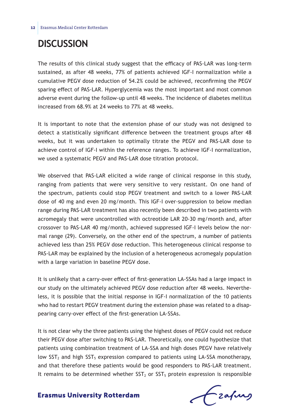# **Discussion**

The results of this clinical study suggest that the efficacy of PAS-LAR was long-term sustained, as after 48 weeks, 77% of patients achieved IGF-I normalization while a cumulative PEGV dose reduction of 54.2% could be achieved, reconfirming the PEGV sparing effect of PAS-LAR. Hyperglycemia was the most important and most common adverse event during the follow-up until 48 weeks. The incidence of diabetes mellitus increased from 68.9% at 24 weeks to 77% at 48 weeks.

It is important to note that the extension phase of our study was not designed to detect a statistically significant difference between the treatment groups after 48 weeks, but it was undertaken to optimally titrate the PEGV and PAS-LAR dose to achieve control of IGF-I within the reference ranges. To achieve IGF-I normalization, we used a systematic PEGV and PAS-LAR dose titration protocol.

We observed that PAS-LAR elicited a wide range of clinical response in this study, ranging from patients that were very sensitive to very resistant. On one hand of the spectrum, patients could stop PEGV treatment and switch to a lower PAS-LAR dose of 40 mg and even 20 mg/month. This IGF-I over-suppression to below median range during PAS-LAR treatment has also recently been described in two patients with acromegaly that were uncontrolled with octreotide LAR 20-30 mg/month and, after crossover to PAS-LAR 40 mg/month, achieved suppressed IGF-I levels below the normal range (29). Conversely, on the other end of the spectrum, a number of patients achieved less than 25% PEGV dose reduction. This heterogeneous clinical response to PAS-LAR may be explained by the inclusion of a heterogeneous acromegaly population with a large variation in baseline PEGV dose.

It is unlikely that a carry-over effect of first-generation LA-SSAs had a large impact in our study on the ultimately achieved PEGV dose reduction after 48 weeks. Nevertheless, it is possible that the initial response in IGF-I normalization of the 10 patients who had to restart PEGV treatment during the extension phase was related to a disappearing carry-over effect of the first-generation LA-SSAs.

It is not clear why the three patients using the highest doses of PEGV could not reduce their PEGV dose after switching to PAS-LAR. Theoretically, one could hypothesize that patients using combination treatment of LA-SSA and high doses PEGV have relatively low  $SST<sub>2</sub>$  and high  $SST<sub>5</sub>$  expression compared to patients using LA-SSA monotherapy, and that therefore these patients would be good responders to PAS-LAR treatment. It remains to be determined whether  $SST<sub>2</sub>$  or  $SST<sub>5</sub>$  protein expression is responsible

frafing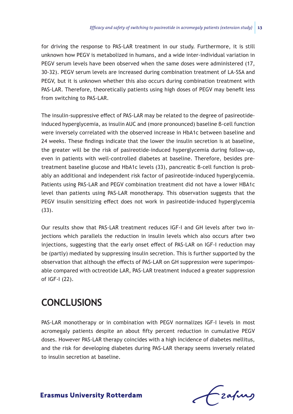for driving the response to PAS-LAR treatment in our study. Furthermore, it is still unknown how PEGV is metabolized in humans, and a wide inter-individual variation in PEGV serum levels have been observed when the same doses were administered (17, 30-32). PEGV serum levels are increased during combination treatment of LA-SSA and PEGV, but it is unknown whether this also occurs during combination treatment with PAS-LAR. Therefore, theoretically patients using high doses of PEGV may benefit less from switching to PAS-LAR.

The insulin-suppressive effect of PAS-LAR may be related to the degree of pasireotideinduced hyperglycemia, as insulin AUC and (more pronounced) baseline β-cell function were inversely correlated with the observed increase in HbA1c between baseline and 24 weeks. These findings indicate that the lower the insulin secretion is at baseline, the greater will be the risk of pasireotide-induced hyperglycemia during follow-up, even in patients with well-controlled diabetes at baseline. Therefore, besides pretreatment baseline glucose and HbA1c levels (33), pancreatic β-cell function is probably an additional and independent risk factor of pasireotide-induced hyperglycemia. Patients using PAS-LAR and PEGV combination treatment did not have a lower HBA1c level than patients using PAS-LAR monotherapy. This observation suggests that the PEGV insulin sensitizing effect does not work in pasireotide-induced hyperglycemia (33).

Our results show that PAS-LAR treatment reduces IGF-I and GH levels after two injections which parallels the reduction in insulin levels which also occurs after two injections, suggesting that the early onset effect of PAS-LAR on IGF-I reduction may be (partly) mediated by suppressing insulin secretion. This is further supported by the observation that although the effects of PAS-LAR on GH suppression were superimposable compared with octreotide LAR, PAS-LAR treatment induced a greater suppression of IGF-I (22).

# **Conclusions**

PAS-LAR monotherapy or in combination with PEGV normalizes IGF-I levels in most acromegaly patients despite an about fifty percent reduction in cumulative PEGV doses. However PAS-LAR therapy coincides with a high incidence of diabetes mellitus, and the risk for developing diabetes during PAS-LAR therapy seems inversely related to insulin secretion at baseline.

Frafing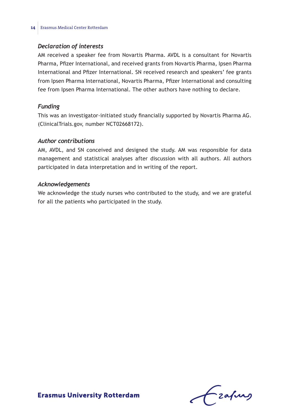#### **14** Erasmus Medical Center Rotterdam

## *Declaration of interests*

AM received a speaker fee from Novartis Pharma. AVDL is a consultant for Novartis Pharma, Pfizer International, and received grants from Novartis Pharma, Ipsen Pharma International and Pfizer International. SN received research and speakers' fee grants from Ipsen Pharma International, Novartis Pharma, Pfizer International and consulting fee from Ipsen Pharma International. The other authors have nothing to declare.

## *Funding*

This was an investigator-initiated study financially supported by Novartis Pharma AG. (ClinicalTrials.gov, number NCT02668172).

#### *Author contributions*

AM, AVDL, and SN conceived and designed the study. AM was responsible for data management and statistical analyses after discussion with all authors. All authors participated in data interpretation and in writing of the report.

## *Acknowledgements*

We acknowledge the study nurses who contributed to the study, and we are grateful for all the patients who participated in the study.

Frafing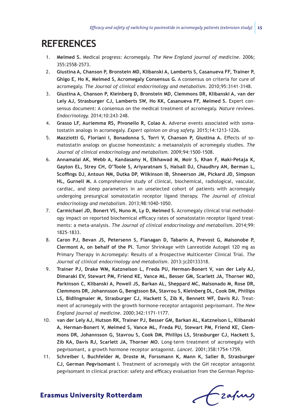# **References**

- 1. **Melmed S.** Medical progress: Acromegaly. *The New England journal of medicine.* 2006; 355:2558-2573.
- 2. **Giustina A, Chanson P, Bronstein MD, Klibanski A, Lamberts S, Casanueva FF, Trainer P, Ghigo E, Ho K, Melmed S, Acromegaly Consensus G.** A consensus on criteria for cure of acromegaly. *The Journal of clinical endocrinology and metabolism.* 2010;95:3141-3148.
- 3. **Giustina A, Chanson P, Kleinberg D, Bronstein MD, Clemmons DR, Klibanski A, van der Lely AJ, Strasburger CJ, Lamberts SW, Ho KK, Casanueva FF, Melmed S.** Expert consensus document: A consensus on the medical treatment of acromegaly. *Nature reviews. Endocrinology.* 2014;10:243‑248.
- 4. **Grasso LF, Auriemma RS, Pivonello R, Colao A.** Adverse events associated with somatostatin analogs in acromegaly. *Expert opinion on drug safety.* 2015;14:1213-1226.
- 5. **Mazziotti G, Floriani I, Bonadonna S, Torri V, Chanson P, Giustina A.** Effects of somatostatin analogs on glucose homeostasis: a metaanalysis of acromegaly studies. *The Journal of clinical endocrinology and metabolism.* 2009;94:1500-1508.
- 6. **Annamalai AK, Webb A, Kandasamy N, Elkhawad M, Moir S, Khan F, Maki-Petaja K, Gayton EL, Strey CH, O'Toole S, Ariyaratnam S, Halsall DJ, Chaudhry AN, Berman L, Scoffings DJ, Antoun NM, Dutka DP, Wilkinson IB, Shneerson JM, Pickard JD, Simpson HL, Gurnell M.** A comprehensive study of clinical, biochemical, radiological, vascular, cardiac, and sleep parameters in an unselected cohort of patients with acromegaly undergoing presurgical somatostatin receptor ligand therapy. *The Journal of clinical endocrinology and metabolism.* 2013;98:1040-1050.
- 7. **Carmichael JD, Bonert VS, Nuno M, Ly D, Melmed S.** Acromegaly clinical trial methodology impact on reported biochemical efficacy rates of somatostatin receptor ligand treatments: a meta-analysis. *The Journal of clinical endocrinology and metabolism.* 2014;99: 1825-1833.
- 8. **Caron PJ, Bevan JS, Petersenn S, Flanagan D, Tabarin A, Prevost G, Maisonobe P, Clermont A, on behalf of the PI.** Tumor Shrinkage with Lanreotide Autogel 120 mg as Primary Therapy in Acromegaly: Results of a Prospective Multicenter Clinical Trial. *The Journal of clinical endocrinology and metabolism.* 2013:jc20133318.
- 9. **Trainer PJ, Drake WM, Katznelson L, Freda PU, Herman-Bonert V, van der Lely AJ, Dimaraki EV, Stewart PM, Friend KE, Vance ML, Besser GM, Scarlett JA, Thorner MO, Parkinson C, Klibanski A, Powell JS, Barkan AL, Sheppard MC, Malsonado M, Rose DR, Clemmons DR, Johannsson G, Bengtsson BA, Stavrou S, Kleinberg DL, Cook DM, Phillips LS, Bidlingmaier M, Strasburger CJ, Hackett S, Zib K, Bennett WF, Davis RJ.** Treatment of acromegaly with the growth hormone-receptor antagonist pegvisomant. *The New England journal of medicine.* 2000;342:1171-1177.
- 10. **van der Lely AJ, Hutson RK, Trainer PJ, Besser GM, Barkan AL, Katznelson L, Klibanski A, Herman-Bonert V, Melmed S, Vance ML, Freda PU, Stewart PM, Friend KE, Clemmons DR, Johannsson G, Stavrou S, Cook DM, Phillips LS, Strasburger CJ, Hackett S, Zib KA, Davis RJ, Scarlett JA, Thorner MO.** Long-term treatment of acromegaly with pegvisomant, a growth hormone receptor antagonist. *Lancet.* 2001;358:1754-1759.
- 11. **Schreiber I, Buchfelder M, Droste M, Forssmann K, Mann K, Saller B, Strasburger CJ, German Pegvisomant I.** Treatment of acromegaly with the GH receptor antagonist pegvisomant in clinical practice: safety and efficacy evaluation from the German Pegviso-

Frafing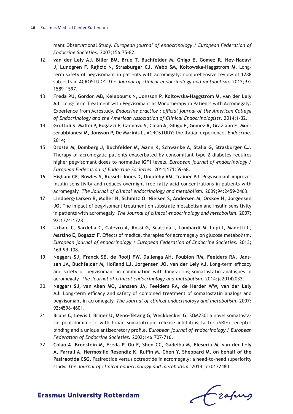#### **16** Erasmus Medical Center Rotterdam

mant Observational Study. *European journal of endocrinology / European Federation of Endocrine Societies.* 2007;156:75‑82.

- 12. **van der Lely AJ, Biller BM, Brue T, Buchfelder M, Ghigo E, Gomez R, Hey-Hadavi J, Lundgren F, Rajicic N, Strasburger CJ, Webb SM, Koltowska-Haggstrom M.** Longterm safety of pegvisomant in patients with acromegaly: comprehensive review of 1288 subjects in ACROSTUDY. *The Journal of clinical endocrinology and metabolism.* 2012;97: 1589-1597.
- 13. **Freda PU, Gordon MB, Kelepouris N, Jonsson P, Koltowska-Haggstrom M, van der Lely AJ.** Long-Term Treatment with Pegvisomant as Monotherapy in Patients with Acromegaly: Experience from Acrostudy. *Endocrine practice : official journal of the American College of Endocrinology and the American Association of Clinical Endocrinologists.* 2014:1‑32.
- 14. **Grottoli S, Maffei P, Bogazzi F, Cannavo S, Colao A, Ghigo E, Gomez R, Graziano E, Monterubbianesi M, Jonsson P, De Marinis L.** ACROSTUDY: the Italian experience. *Endocrine.* 2014;
- 15. **Droste M, Domberg J, Buchfelder M, Mann K, Schwanke A, Stalla G, Strasburger CJ.** Therapy of acromegalic patients exacerbated by concomitant type 2 diabetes requires higher pegvisomant doses to normalise IGF1 levels. *European journal of endocrinology / European Federation of Endocrine Societies.* 2014;171:59‑68.
- 16. **Higham CE, Rowles S, Russell-Jones D, Umpleby AM, Trainer PJ.** Pegvisomant improves insulin sensitivity and reduces overnight free fatty acid concentrations in patients with acromegaly. *The Journal of clinical endocrinology and metabolism.* 2009;94:2459-2463.
- 17. **Lindberg-Larsen R, Moller N, Schmitz O, Nielsen S, Andersen M, Orskov H, Jorgensen JO.** The impact of pegvisomant treatment on substrate metabolism and insulin sensitivity in patients with acromegaly. *The Journal of clinical endocrinology and metabolism.* 2007; 92:1724-1728.
- 18. **Urbani C, Sardella C, Calevro A, Rossi G, Scattina I, Lombardi M, Lupi I, Manetti L, Martino E, Bogazzi F.** Effects of medical therapies for acromegaly on glucose metabolism. *European journal of endocrinology / European Federation of Endocrine Societies.* 2013; 169:99‑108.
- 19. **Neggers SJ, Franck SE, de Rooij FW, Dallenga AH, Poublon RM, Feelders RA, Janssen JA, Buchfelder M, Hofland LJ, Jorgensen JO, van der Lely AJ.** Long-term efficacy and safety of pegvisomant in combination with long-acting somatostatin analogues in acromegaly. *The Journal of clinical endocrinology and metabolism.* 2014:jc20142032.
- 20. **Neggers SJ, van Aken MO, Janssen JA, Feelders RA, de Herder WW, van der Lely AJ.** Long-term efficacy and safety of combined treatment of somatostatin analogs and pegvisomant in acromegaly. *The Journal of clinical endocrinology and metabolism.* 2007; 92:4598-4601.
- 21. **Bruns C, Lewis I, Briner U, Meno-Tetang G, Weckbecker G.** SOM230: a novel somatostatin peptidomimetic with broad somatotropin release inhibiting factor (SRIF) receptor binding and a unique antisecretory profile. *European journal of endocrinology / European Federation of Endocrine Societies.* 2002;146:707‑716.
- 22. **Colao A, Bronstein M, Freda P, Gu F, Shen CC, Gadelha M, Fleseriu M, van der Lely A, Farrall A, Hermosillo Resendiz K, Ruffin M, Chen Y, Sheppard M, on behalf of the Pasireotide CSG.** Pasireotide versus octreotide in acromegaly: a head-to-head superiority study. *The Journal of clinical endocrinology and metabolism.* 2014:jc20132480.

Frahing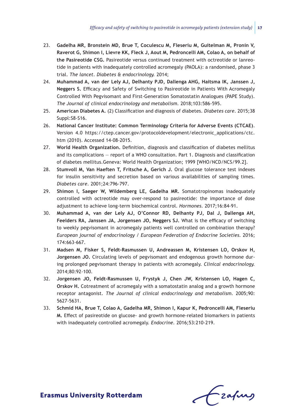- 23. **Gadelha MR, Bronstein MD, Brue T, Coculescu M, Fleseriu M, Guitelman M, Pronin V, Raverot G, Shimon I, Lievre KK, Fleck J, Aout M, Pedroncelli AM, Colao A, on behalf of the Pasireotide CSG.** Pasireotide versus continued treatment with octreotide or lanreotide in patients with inadequately controlled acromegaly (PAOLA): a randomised, phase 3 trial. *The lancet. Diabetes & endocrinology.* 2014;
- 24. **Muhammad A, van der Lely AJ, Delhanty PJD, Dallenga AHG, Haitsma IK, Janssen J, Neggers S.** Efficacy and Safety of Switching to Pasireotide in Patients With Acromegaly Controlled With Pegvisomant and First-Generation Somatostatin Analogues (PAPE Study). *The Journal of clinical endocrinology and metabolism.* 2018;103:586‑595.
- 25. **American Diabetes A.** (2) Classification and diagnosis of diabetes. *Diabetes care.* 2015;38 Suppl:S8-S16.
- 26. **National Cancer Institute: Common Terminology Criteria for Adverse Events (CTCAE)**. Version 4.0 https://ctep.cancer.gov/protocoldevelopment/electronic\_applications/ctc. htm (2010). Accessed 14-08-2015.
- 27. **World Health Organization.** Definition, diagnosis and classification of diabetes mellitus and its complications — report of a WHO consultation. Part 1. Diagnosis and classification of diabetes mellitus.Geneva: World Health Organization; 1999 [WHO/NCD/NCS/99.2].
- 28. **Stumvoll M, Van Haeften T, Fritsche A, Gerich J.** Oral glucose tolerance test indexes for insulin sensitivity and secretion based on various availabilities of sampling times. *Diabetes care.* 2001;24:796‑797.
- 29. **Shimon I, Saeger W, Wildemberg LE, Gadelha MR.** Somatotropinomas inadequately controlled with octreotide may over-respond to pasireotide: the importance of dose adjustment to achieve long-term biochemical control. *Hormones.* 2017;16:84‑91.
- 30. **Muhammad A, van der Lely AJ, O'Connor RD, Delhanty PJ, Dal J, Dallenga AH, Feelders RA, Janssen JA, Jorgensen JO, Neggers SJ.** What is the efficacy of switching to weekly pegvisomant in acromegaly patients well controlled on combination therapy? *European journal of endocrinology / European Federation of Endocrine Societies.* 2016; 174:663‑667.
- 31. **Madsen M, Fisker S, Feldt-Rasmussen U, Andreassen M, Kristensen LO, Orskov H, Jorgensen JO.** Circulating levels of pegvisomant and endogenous growth hormone during prolonged pegvisomant therapy in patients with acromegaly. *Clinical endocrinology.* 2014;80:92‑100.
- 32. **Jorgensen JO, Feldt-Rasmussen U, Frystyk J, Chen JW, Kristensen LO, Hagen C, Orskov H.** Cotreatment of acromegaly with a somatostatin analog and a growth hormone receptor antagonist. *The Journal of clinical endocrinology and metabolism.* 2005;90: 5627-5631.
- 33. **Schmid HA, Brue T, Colao A, Gadelha MR, Shimon I, Kapur K, Pedroncelli AM, Fleseriu M.** Effect of pasireotide on glucose‑ and growth hormone-related biomarkers in patients with inadequately controlled acromegaly. *Endocrine.* 2016;53:210‑219.

Czafurg